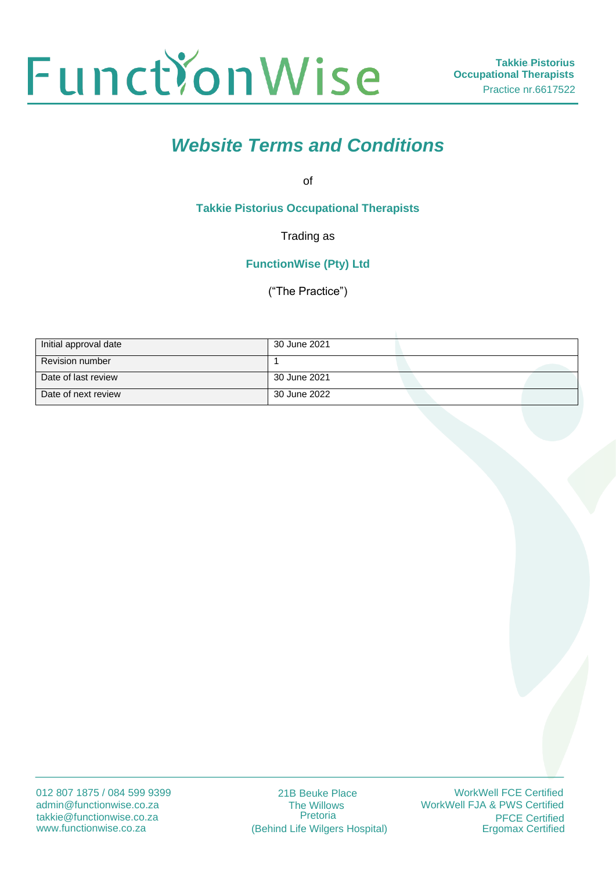

# *Website Terms and Conditions*

of

**Takkie Pistorius Occupational Therapists**

Trading as

**FunctionWise (Pty) Ltd**

("The Practice")

| Initial approval date  | 30 June 2021 |  |
|------------------------|--------------|--|
| <b>Revision number</b> |              |  |
| Date of last review    | 30 June 2021 |  |
| Date of next review    | 30 June 2022 |  |

21B Beuke Place The Willows Pretoria (Behind Life Wilgers Hospital)

WorkWell FCE Certified WorkWell FJA & PWS Certified **PFCE Certified**<br>Ergomax Certified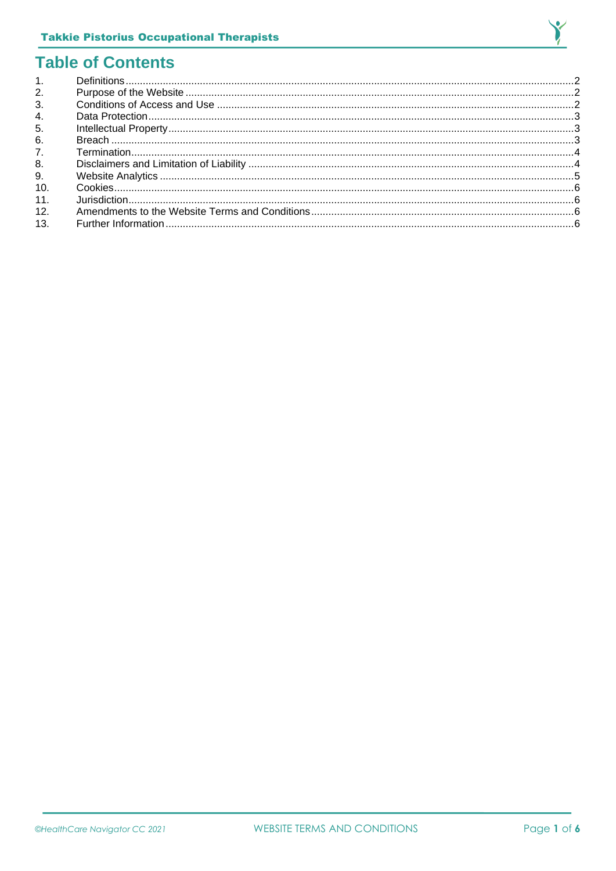

# **Table of Contents**

| $\mathbf{1}$ . |  |
|----------------|--|
| 2.             |  |
| 3.             |  |
| 4.             |  |
| 5.             |  |
| 6.             |  |
| 7.             |  |
| 8.             |  |
| 9.             |  |
| 10.            |  |
| 11.            |  |
| 12.            |  |
| 13.            |  |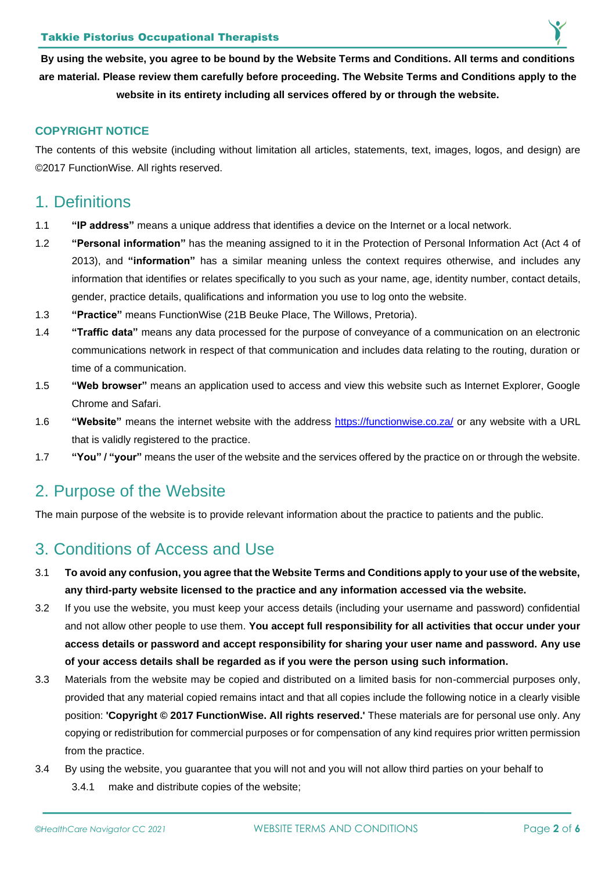**By using the website, you agree to be bound by the Website Terms and Conditions. All terms and conditions are material. Please review them carefully before proceeding. The Website Terms and Conditions apply to the website in its entirety including all services offered by or through the website.**

#### **COPYRIGHT NOTICE**

The contents of this website (including without limitation all articles, statements, text, images, logos, and design) are ©2017 FunctionWise. All rights reserved.

### <span id="page-2-0"></span>1. Definitions

- 1.1 **"IP address"** means a unique address that identifies a device on the Internet or a local network.
- 1.2 **"Personal information"** has the meaning assigned to it in the Protection of Personal Information Act (Act 4 of 2013), and **"information"** has a similar meaning unless the context requires otherwise, and includes any information that identifies or relates specifically to you such as your name, age, identity number, contact details, gender, practice details, qualifications and information you use to log onto the website.
- 1.3 **"Practice"** means FunctionWise (21B Beuke Place, The Willows, Pretoria).
- 1.4 **"Traffic data"** means any data processed for the purpose of conveyance of a communication on an electronic communications network in respect of that communication and includes data relating to the routing, duration or time of a communication.
- 1.5 **"Web browser"** means an application used to access and view this website such as Internet Explorer, Google Chrome and Safari.
- 1.6 **"Website"** means the internet website with the address<https://functionwise.co.za/> or any website with a URL that is validly registered to the practice.
- 1.7 **"You" / "your"** means the user of the website and the services offered by the practice on or through the website.

#### <span id="page-2-1"></span>2. Purpose of the Website

The main purpose of the website is to provide relevant information about the practice to patients and the public.

# <span id="page-2-2"></span>3. Conditions of Access and Use

- 3.1 **To avoid any confusion, you agree that the Website Terms and Conditions apply to your use of the website, any third-party website licensed to the practice and any information accessed via the website.**
- 3.2 If you use the website, you must keep your access details (including your username and password) confidential and not allow other people to use them. **You accept full responsibility for all activities that occur under your access details or password and accept responsibility for sharing your user name and password. Any use of your access details shall be regarded as if you were the person using such information.**
- 3.3 Materials from the website may be copied and distributed on a limited basis for non-commercial purposes only, provided that any material copied remains intact and that all copies include the following notice in a clearly visible position: **'Copyright © 2017 FunctionWise. All rights reserved.'** These materials are for personal use only. Any copying or redistribution for commercial purposes or for compensation of any kind requires prior written permission from the practice.
- 3.4 By using the website, you guarantee that you will not and you will not allow third parties on your behalf to
	- 3.4.1 make and distribute copies of the website;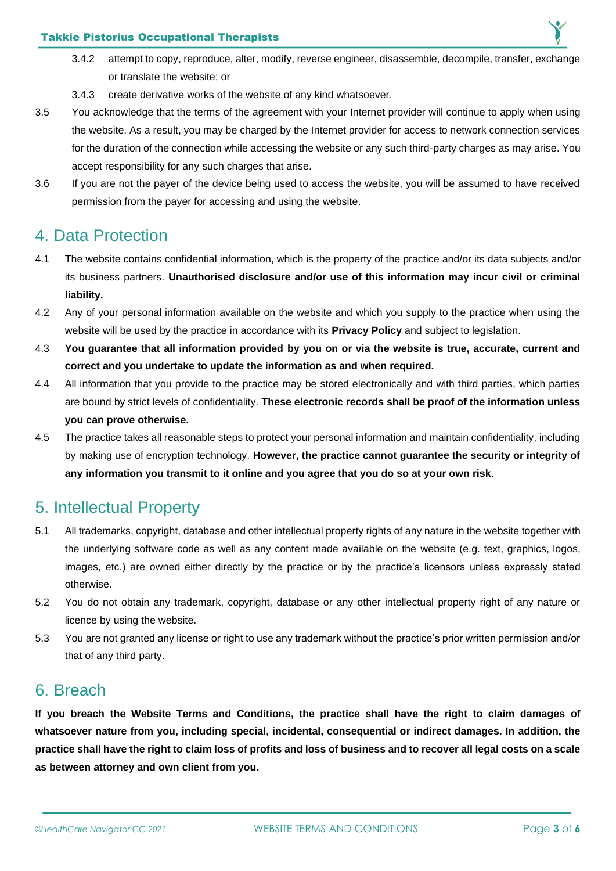#### Takkie Pistorius Occupational Therapists

- 3.4.2 attempt to copy, reproduce, alter, modify, reverse engineer, disassemble, decompile, transfer, exchange or translate the website; or
- 3.4.3 create derivative works of the website of any kind whatsoever.
- 3.5 You acknowledge that the terms of the agreement with your Internet provider will continue to apply when using the website. As a result, you may be charged by the Internet provider for access to network connection services for the duration of the connection while accessing the website or any such third-party charges as may arise. You accept responsibility for any such charges that arise.
- 3.6 If you are not the payer of the device being used to access the website, you will be assumed to have received permission from the payer for accessing and using the website.

## <span id="page-3-0"></span>4. Data Protection

- 4.1 The website contains confidential information, which is the property of the practice and/or its data subjects and/or its business partners. **Unauthorised disclosure and/or use of this information may incur civil or criminal liability.**
- 4.2 Any of your personal information available on the website and which you supply to the practice when using the website will be used by the practice in accordance with its **Privacy Policy** and subject to legislation.
- 4.3 **You guarantee that all information provided by you on or via the website is true, accurate, current and correct and you undertake to update the information as and when required.**
- 4.4 All information that you provide to the practice may be stored electronically and with third parties, which parties are bound by strict levels of confidentiality. **These electronic records shall be proof of the information unless you can prove otherwise.**
- 4.5 The practice takes all reasonable steps to protect your personal information and maintain confidentiality, including by making use of encryption technology. **However, the practice cannot guarantee the security or integrity of any information you transmit to it online and you agree that you do so at your own risk**.

# <span id="page-3-1"></span>5. Intellectual Property

- 5.1 All trademarks, copyright, database and other intellectual property rights of any nature in the website together with the underlying software code as well as any content made available on the website (e.g. text, graphics, logos, images, etc.) are owned either directly by the practice or by the practice's licensors unless expressly stated otherwise.
- 5.2 You do not obtain any trademark, copyright, database or any other intellectual property right of any nature or licence by using the website.
- 5.3 You are not granted any license or right to use any trademark without the practice's prior written permission and/or that of any third party.

### <span id="page-3-2"></span>6. Breach

**If you breach the Website Terms and Conditions, the practice shall have the right to claim damages of whatsoever nature from you, including special, incidental, consequential or indirect damages. In addition, the practice shall have the right to claim loss of profits and loss of business and to recover all legal costs on a scale as between attorney and own client from you.**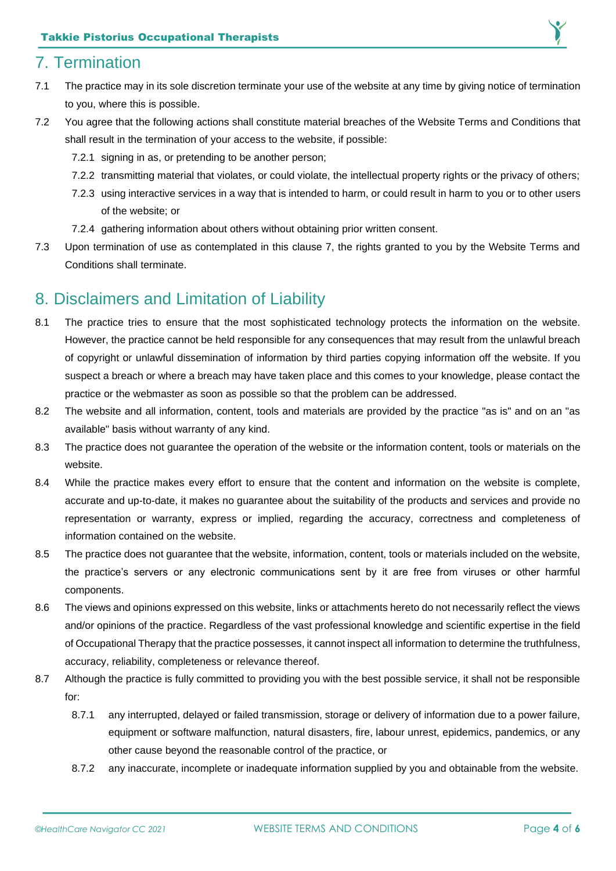# <span id="page-4-0"></span>7. Termination

- 7.1 The practice may in its sole discretion terminate your use of the website at any time by giving notice of termination to you, where this is possible.
- 7.2 You agree that the following actions shall constitute material breaches of the Website Terms and Conditions that shall result in the termination of your access to the website, if possible:
	- 7.2.1 signing in as, or pretending to be another person;
	- 7.2.2 transmitting material that violates, or could violate, the intellectual property rights or the privacy of others;
	- 7.2.3 using interactive services in a way that is intended to harm, or could result in harm to you or to other users of the website; or
	- 7.2.4 gathering information about others without obtaining prior written consent.
- 7.3 Upon termination of use as contemplated in this clause 7, the rights granted to you by the Website Terms and Conditions shall terminate.

# <span id="page-4-1"></span>8. Disclaimers and Limitation of Liability

- 8.1 The practice tries to ensure that the most sophisticated technology protects the information on the website. However, the practice cannot be held responsible for any consequences that may result from the unlawful breach of copyright or unlawful dissemination of information by third parties copying information off the website. If you suspect a breach or where a breach may have taken place and this comes to your knowledge, please contact the practice or the webmaster as soon as possible so that the problem can be addressed.
- 8.2 The website and all information, content, tools and materials are provided by the practice "as is" and on an "as available" basis without warranty of any kind.
- 8.3 The practice does not guarantee the operation of the website or the information content, tools or materials on the website.
- 8.4 While the practice makes every effort to ensure that the content and information on the website is complete, accurate and up-to-date, it makes no guarantee about the suitability of the products and services and provide no representation or warranty, express or implied, regarding the accuracy, correctness and completeness of information contained on the website.
- 8.5 The practice does not guarantee that the website, information, content, tools or materials included on the website, the practice's servers or any electronic communications sent by it are free from viruses or other harmful components.
- 8.6 The views and opinions expressed on this website, links or attachments hereto do not necessarily reflect the views and/or opinions of the practice. Regardless of the vast professional knowledge and scientific expertise in the field of Occupational Therapy that the practice possesses, it cannot inspect all information to determine the truthfulness, accuracy, reliability, completeness or relevance thereof.
- 8.7 Although the practice is fully committed to providing you with the best possible service, it shall not be responsible for:
	- 8.7.1 any interrupted, delayed or failed transmission, storage or delivery of information due to a power failure, equipment or software malfunction, natural disasters, fire, labour unrest, epidemics, pandemics, or any other cause beyond the reasonable control of the practice, or
	- 8.7.2 any inaccurate, incomplete or inadequate information supplied by you and obtainable from the website.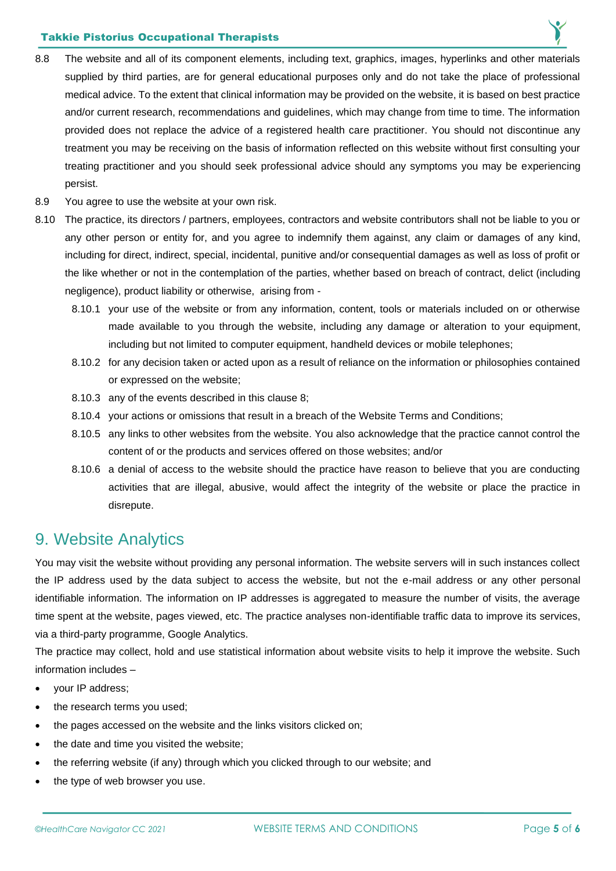#### Takkie Pistorius Occupational Therapists

- 8.8 The website and all of its component elements, including text, graphics, images, hyperlinks and other materials supplied by third parties, are for general educational purposes only and do not take the place of professional medical advice. To the extent that clinical information may be provided on the website, it is based on best practice and/or current research, recommendations and guidelines, which may change from time to time. The information provided does not replace the advice of a registered health care practitioner. You should not discontinue any treatment you may be receiving on the basis of information reflected on this website without first consulting your treating practitioner and you should seek professional advice should any symptoms you may be experiencing persist.
- 8.9 You agree to use the website at your own risk.
- 8.10 The practice, its directors / partners, employees, contractors and website contributors shall not be liable to you or any other person or entity for, and you agree to indemnify them against, any claim or damages of any kind, including for direct, indirect, special, incidental, punitive and/or consequential damages as well as loss of profit or the like whether or not in the contemplation of the parties, whether based on breach of contract, delict (including negligence), product liability or otherwise, arising from -
	- 8.10.1 your use of the website or from any information, content, tools or materials included on or otherwise made available to you through the website, including any damage or alteration to your equipment, including but not limited to computer equipment, handheld devices or mobile telephones;
	- 8.10.2 for any decision taken or acted upon as a result of reliance on the information or philosophies contained or expressed on the website;
	- 8.10.3 any of the events described in this clause 8;
	- 8.10.4 your actions or omissions that result in a breach of the Website Terms and Conditions;
	- 8.10.5 any links to other websites from the website. You also acknowledge that the practice cannot control the content of or the products and services offered on those websites; and/or
	- 8.10.6 a denial of access to the website should the practice have reason to believe that you are conducting activities that are illegal, abusive, would affect the integrity of the website or place the practice in disrepute.

#### <span id="page-5-0"></span>9. Website Analytics

You may visit the website without providing any personal information. The website servers will in such instances collect the IP address used by the data subject to access the website, but not the e-mail address or any other personal identifiable information. The information on IP addresses is aggregated to measure the number of visits, the average time spent at the website, pages viewed, etc. The practice analyses non-identifiable traffic data to improve its services, via a third-party programme, Google Analytics.

The practice may collect, hold and use statistical information about website visits to help it improve the website. Such information includes –

- your IP address;
- the research terms you used;
- the pages accessed on the website and the links visitors clicked on;
- the date and time you visited the website;
- the referring website (if any) through which you clicked through to our website; and
- the type of web browser you use.